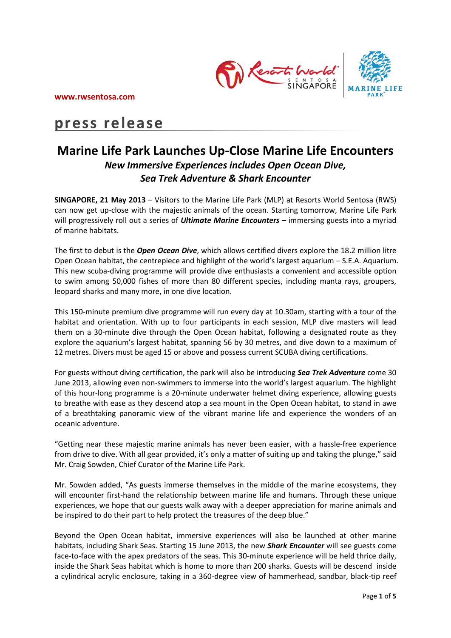

# **press release**

## **Marine Life Park Launches Up-Close Marine Life Encounters**  *New Immersive Experiences includes Open Ocean Dive, Sea Trek Adventure & Shark Encounter*

**SINGAPORE, 21 May 2013** – Visitors to the Marine Life Park (MLP) at Resorts World Sentosa (RWS) can now get up-close with the majestic animals of the ocean. Starting tomorrow, Marine Life Park will progressively roll out a series of *Ultimate Marine Encounters* – immersing guests into a myriad of marine habitats.

The first to debut is the *Open Ocean Dive*, which allows certified divers explore the 18.2 million litre Open Ocean habitat, the centrepiece and highlight of the world's largest aquarium – S.E.A. Aquarium. This new scuba-diving programme will provide dive enthusiasts a convenient and accessible option to swim among 50,000 fishes of more than 80 different species, including manta rays, groupers, leopard sharks and many more, in one dive location.

This 150-minute premium dive programme will run every day at 10.30am, starting with a tour of the habitat and orientation. With up to four participants in each session, MLP dive masters will lead them on a 30-minute dive through the Open Ocean habitat, following a designated route as they explore the aquarium's largest habitat, spanning 56 by 30 metres, and dive down to a maximum of 12 metres. Divers must be aged 15 or above and possess current SCUBA diving certifications.

For guests without diving certification, the park will also be introducing *Sea Trek Adventure* come 30 June 2013, allowing even non-swimmers to immerse into the world's largest aquarium. The highlight of this hour-long programme is a 20-minute underwater helmet diving experience, allowing guests to breathe with ease as they descend atop a sea mount in the Open Ocean habitat, to stand in awe of a breathtaking panoramic view of the vibrant marine life and experience the wonders of an oceanic adventure.

"Getting near these majestic marine animals has never been easier, with a hassle-free experience from drive to dive. With all gear provided, it's only a matter of suiting up and taking the plunge," said Mr. Craig Sowden, Chief Curator of the Marine Life Park.

Mr. Sowden added, "As guests immerse themselves in the middle of the marine ecosystems, they will encounter first-hand the relationship between marine life and humans. Through these unique experiences, we hope that our guests walk away with a deeper appreciation for marine animals and be inspired to do their part to help protect the treasures of the deep blue."

Beyond the Open Ocean habitat, immersive experiences will also be launched at other marine habitats, including Shark Seas. Starting 15 June 2013, the new *Shark Encounter* will see guests come face-to-face with the apex predators of the seas. This 30-minute experience will be held thrice daily, inside the Shark Seas habitat which is home to more than 200 sharks. Guests will be descend inside a cylindrical acrylic enclosure, taking in a 360-degree view of hammerhead, sandbar, black-tip reef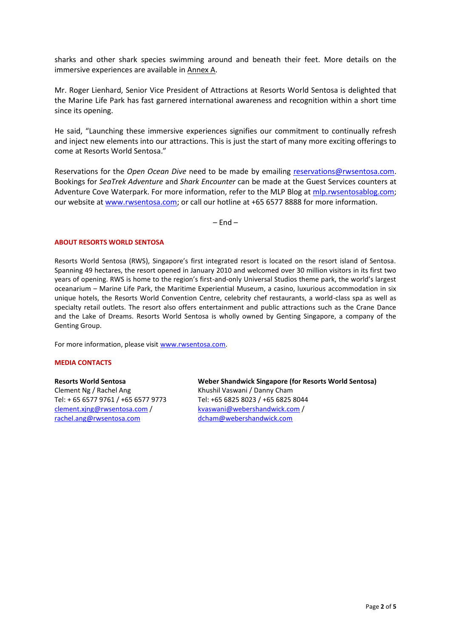sharks and other shark species swimming around and beneath their feet. More details on the immersive experiences are available in Annex A.

Mr. Roger Lienhard, Senior Vice President of Attractions at Resorts World Sentosa is delighted that the Marine Life Park has fast garnered international awareness and recognition within a short time since its opening.

He said, "Launching these immersive experiences signifies our commitment to continually refresh and inject new elements into our attractions. This is just the start of many more exciting offerings to come at Resorts World Sentosa."

Reservations for the *Open Ocean Dive* need to be made by emailing [reservations@rwsentosa.com.](mailto:reservations@rwsentosa.com) Bookings for *SeaTrek Adventure* and *Shark Encounter* can be made at the Guest Services counters at Adventure Cove Waterpark. For more information, refer to the MLP Blog at [mlp.rwsentosablog.com;](file:///C:/Documents%20and%20Settings/soonhua.lim/Local%20Settings/Temporary%20Internet%20Files/Content.Outlook/GUAG4Z9R/mlp.rwsentosablog.com) our website at [www.rwsentosa.com;](http://www.rwsentosa.com/) or call our hotline at +65 6577 8888 for more information.

 $-$  Fnd  $-$ 

## **ABOUT RESORTS WORLD SENTOSA**

Resorts World Sentosa (RWS), Singapore's first integrated resort is located on the resort island of Sentosa. Spanning 49 hectares, the resort opened in January 2010 and welcomed over 30 million visitors in its first two years of opening. RWS is home to the region's first-and-only Universal Studios theme park, the world's largest oceanarium – Marine Life Park, the Maritime Experiential Museum, a casino, luxurious accommodation in six unique hotels, the Resorts World Convention Centre, celebrity chef restaurants, a world-class spa as well as specialty retail outlets. The resort also offers entertainment and public attractions such as the Crane Dance and the Lake of Dreams. Resorts World Sentosa is wholly owned by Genting Singapore, a company of the Genting Group.

For more information, please visit [www.rwsentosa.com.](http://www.rwsentosa.com/)

## **MEDIA CONTACTS**

## **Resorts World Sentosa**

Clement Ng / Rachel Ang Tel: + 65 6577 9761 / +65 6577 9773 [clement.xjng@rwsentosa.com](mailto:clement.xjng@rwsentosa.com) / [rachel.ang@rwsentosa.com](mailto:rachel.ang@rwsentosa.com)

**Weber Shandwick Singapore (for Resorts World Sentosa)**  Khushil Vaswani / Danny Cham Tel: +65 6825 8023 / +65 6825 8044 [kvaswani@webershandwick.com](mailto:kvaswani@webershandwick.com) / [dcham@webershandwick.com](mailto:dcham@webershandwick.com)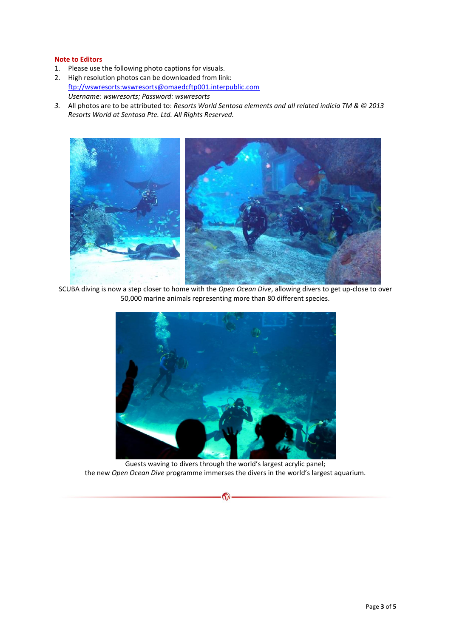## **Note to Editors**

- 1. Please use the following photo captions for visuals.
- 2. High resolution photos can be downloaded from link: [ftp://wswresorts:wswresorts@omaedcftp001.interpublic.com](ftp://wswresorts:wswresorts@omaedcftp001.interpublic.com/) *Username: wswresorts; Password: wswresorts*
- *3.* All photos are to be attributed to: *Resorts World Sentosa elements and all related indicia TM & © 2013 Resorts World at Sentosa Pte. Ltd. All Rights Reserved.*



SCUBA diving is now a step closer to home with the *Open Ocean Dive*, allowing divers to get up-close to over 50,000 marine animals representing more than 80 different species.



Guests waving to divers through the world's largest acrylic panel; the new *Open Ocean Dive* programme immerses the divers in the world's largest aquarium.

 $\mathcal{Q}$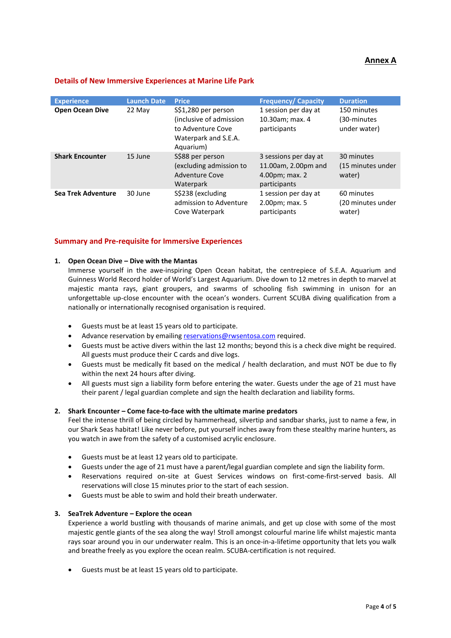## **Annex A**

## **Details of New Immersive Experiences at Marine Life Park**

| <b>Experience</b>         | <b>Launch Date</b> | <b>Price</b>                                                                                             | <b>Frequency/ Capacity</b>                                                     | <b>Duration</b>                            |
|---------------------------|--------------------|----------------------------------------------------------------------------------------------------------|--------------------------------------------------------------------------------|--------------------------------------------|
| <b>Open Ocean Dive</b>    | 22 May             | S\$1,280 per person<br>(inclusive of admission<br>to Adventure Cove<br>Waterpark and S.E.A.<br>Aquarium) | 1 session per day at<br>10.30am; max. 4<br>participants                        | 150 minutes<br>(30-minutes<br>under water) |
| <b>Shark Encounter</b>    | 15 June            | S\$88 per person<br>(excluding admission to<br><b>Adventure Cove</b><br>Waterpark                        | 3 sessions per day at<br>11.00am, 2.00pm and<br>4.00pm; max. 2<br>participants | 30 minutes<br>(15 minutes under<br>water)  |
| <b>Sea Trek Adventure</b> | 30 June            | S\$238 (excluding<br>admission to Adventure<br>Cove Waterpark                                            | 1 session per day at<br>2.00pm; max. 5<br>participants                         | 60 minutes<br>(20 minutes under<br>water)  |

## **Summary and Pre-requisite for Immersive Experiences**

## **1. Open Ocean Dive – Dive with the Mantas**

Immerse yourself in the awe-inspiring Open Ocean habitat, the centrepiece of S.E.A. Aquarium and Guinness World Record holder of World's Largest Aquarium. Dive down to 12 metres in depth to marvel at majestic manta rays, giant groupers, and swarms of schooling fish swimming in unison for an unforgettable up-close encounter with the ocean's wonders. Current SCUBA diving qualification from a nationally or internationally recognised organisation is required.

- Guests must be at least 15 years old to participate.
- Advance reservation by emailin[g reservations@rwsentosa.com](mailto:reservations@rwsentosa.com) required.
- Guests must be active divers within the last 12 months; beyond this is a check dive might be required. All guests must produce their C cards and dive logs.
- Guests must be medically fit based on the medical / health declaration, and must NOT be due to fly within the next 24 hours after diving.
- All guests must sign a liability form before entering the water. Guests under the age of 21 must have their parent / legal guardian complete and sign the health declaration and liability forms.

## **2. Shark Encounter – Come face-to-face with the ultimate marine predators**

Feel the intense thrill of being circled by hammerhead, silvertip and sandbar sharks, just to name a few, in our Shark Seas habitat! Like never before, put yourself inches away from these stealthy marine hunters, as you watch in awe from the safety of a customised acrylic enclosure.

- Guests must be at least 12 years old to participate.
- Guests under the age of 21 must have a parent/legal guardian complete and sign the liability form.
- Reservations required on-site at Guest Services windows on first-come-first-served basis. All reservations will close 15 minutes prior to the start of each session.
- Guests must be able to swim and hold their breath underwater.

## **3. SeaTrek Adventure – Explore the ocean**

Experience a world bustling with thousands of marine animals, and get up close with some of the most majestic gentle giants of the sea along the way! Stroll amongst colourful marine life whilst majestic manta rays soar around you in our underwater realm. This is an once-in-a-lifetime opportunity that lets you walk and breathe freely as you explore the ocean realm. SCUBA-certification is not required.

Guests must be at least 15 years old to participate.